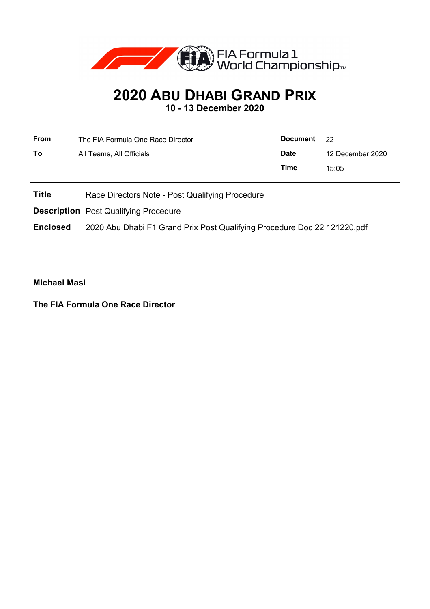

## **2020 ABU DHABI GRAND PRIX**

**10 - 13 December 2020**

| <b>From</b> | The FIA Formula One Race Director | Document    | - 22             |
|-------------|-----------------------------------|-------------|------------------|
| Τo          | All Teams, All Officials          | <b>Date</b> | 12 December 2020 |
|             |                                   | Time        | 15:05            |

**Title** Race Directors Note - Post Qualifying Procedure

**Description** Post Qualifying Procedure

**Enclosed** 2020 Abu Dhabi F1 Grand Prix Post Qualifying Procedure Doc 22 121220.pdf

**Michael Masi**

**The FIA Formula One Race Director**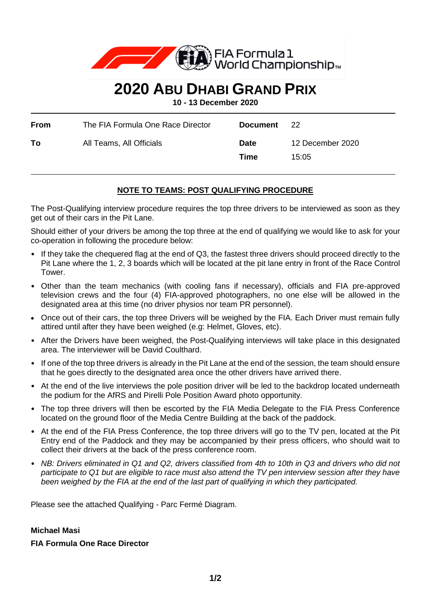

## **2020 ABU DHABI GRAND PRIX**

**10 - 13 December 2020**

| From | The FIA Formula One Race Director | Document            | - 22                      |
|------|-----------------------------------|---------------------|---------------------------|
| To   | All Teams, All Officials          | <b>Date</b><br>Time | 12 December 2020<br>15:05 |

## **NOTE TO TEAMS: POST QUALIFYING PROCEDURE**

The Post-Qualifying interview procedure requires the top three drivers to be interviewed as soon as they get out of their cars in the Pit Lane.

Should either of your drivers be among the top three at the end of qualifying we would like to ask for your co-operation in following the procedure below:

- If they take the chequered flag at the end of Q3, the fastest three drivers should proceed directly to the Pit Lane where the 1, 2, 3 boards which will be located at the pit lane entry in front of the Race Control Tower.
- Other than the team mechanics (with cooling fans if necessary), officials and FIA pre-approved television crews and the four (4) FIA-approved photographers, no one else will be allowed in the designated area at this time (no driver physios nor team PR personnel).
- Once out of their cars, the top three Drivers will be weighed by the FIA. Each Driver must remain fully attired until after they have been weighed (e.g: Helmet, Gloves, etc).
- After the Drivers have been weighed, the Post-Qualifying interviews will take place in this designated area. The interviewer will be David Coulthard.
- If one of the top three drivers is already in the Pit Lane at the end of the session, the team should ensure that he goes directly to the designated area once the other drivers have arrived there.
- At the end of the live interviews the pole position driver will be led to the backdrop located underneath the podium for the AfRS and Pirelli Pole Position Award photo opportunity.
- The top three drivers will then be escorted by the FIA Media Delegate to the FIA Press Conference located on the ground floor of the Media Centre Building at the back of the paddock.
- At the end of the FIA Press Conference, the top three drivers will go to the TV pen, located at the Pit Entry end of the Paddock and they may be accompanied by their press officers, who should wait to collect their drivers at the back of the press conference room.
- *NB: Drivers eliminated in Q1 and Q2, drivers classified from 4th to 10th in Q3 and drivers who did not participate to Q1 but are eligible to race must also attend the TV pen interview session after they have been weighed by the FIA at the end of the last part of qualifying in which they participated.*

Please see the attached Qualifying - Parc Fermé Diagram.

## **Michael Masi**

**FIA Formula One Race Director**